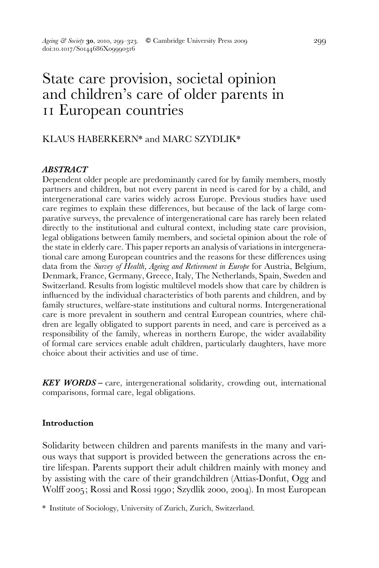# State care provision, societal opinion and children's care of older parents in 11 European countries

# KLAUS HABERKERN\* and MARC SZYDLIK\*

## ABSTRACT

Dependent older people are predominantly cared for by family members, mostly partners and children, but not every parent in need is cared for by a child, and intergenerational care varies widely across Europe. Previous studies have used care regimes to explain these differences, but because of the lack of large comparative surveys, the prevalence of intergenerational care has rarely been related directly to the institutional and cultural context, including state care provision, legal obligations between family members, and societal opinion about the role of the state in elderly care. This paper reports an analysis of variations in intergenerational care among European countries and the reasons for these differences using data from the Survey of Health, Ageing and Retirement in Europe for Austria, Belgium, Denmark, France, Germany, Greece, Italy, The Netherlands, Spain, Sweden and Switzerland. Results from logistic multilevel models show that care by children is influenced by the individual characteristics of both parents and children, and by family structures, welfare-state institutions and cultural norms. Intergenerational care is more prevalent in southern and central European countries, where children are legally obligated to support parents in need, and care is perceived as a responsibility of the family, whereas in northern Europe, the wider availability of formal care services enable adult children, particularly daughters, have more choice about their activities and use of time.

KEY WORDS - care, intergenerational solidarity, crowding out, international comparisons, formal care, legal obligations.

## Introduction

Solidarity between children and parents manifests in the many and various ways that support is provided between the generations across the entire lifespan. Parents support their adult children mainly with money and by assisting with the care of their grandchildren (Attias-Donfut, Ogg and Wolff 2005; Rossi and Rossi 1990; Szydlik 2000, 2004). In most European

<sup>\*</sup> Institute of Sociology, University of Zurich, Zurich, Switzerland.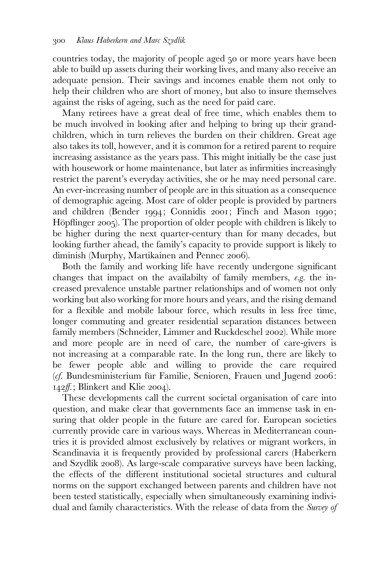countries today, the majority of people aged 50 or more years have been able to build up assets during their working lives, and many also receive an adequate pension. Their savings and incomes enable them not only to help their children who are short of money, but also to insure themselves against the risks of ageing, such as the need for paid care.

Many retirees have a great deal of free time, which enables them to be much involved in looking after and helping to bring up their grandchildren, which in turn relieves the burden on their children. Great age also takes its toll, however, and it is common for a retired parent to require increasing assistance as the years pass. This might initially be the case just with housework or home maintenance, but later as infirmities increasingly restrict the parent's everyday activities, she or he may need personal care. An ever-increasing number of people are in this situation as a consequence of demographic ageing. Most care of older people is provided by partners and children (Bender 1994; Connidis 2001; Finch and Mason 1990; Höpflinger 2005). The proportion of older people with children is likely to be higher during the next quarter-century than for many decades, but looking further ahead, the family's capacity to provide support is likely to diminish (Murphy, Martikainen and Pennec 2006).

Both the family and working life have recently undergone significant changes that impact on the availabilty of family members, e.g. the increased prevalence unstable partner relationships and of women not only working but also working for more hours and years, and the rising demand for a flexible and mobile labour force, which results in less free time, longer commuting and greater residential separation distances between family members (Schneider, Limmer and Ruckdeschel 2002). While more and more people are in need of care, the number of care-givers is not increasing at a comparable rate. In the long run, there are likely to be fewer people able and willing to provide the care required (cf. Bundesministerium für Familie, Senioren, Frauen und Jugend 2006:  $142f$ : Blinkert and Klie 2004).

These developments call the current societal organisation of care into question, and make clear that governments face an immense task in ensuring that older people in the future are cared for. European societies currently provide care in various ways. Whereas in Mediterranean countries it is provided almost exclusively by relatives or migrant workers, in Scandinavia it is frequently provided by professional carers (Haberkern and Szydlik 2008). As large-scale comparative surveys have been lacking, the effects of the different institutional societal structures and cultural norms on the support exchanged between parents and children have not been tested statistically, especially when simultaneously examining individual and family characteristics. With the release of data from the Survey of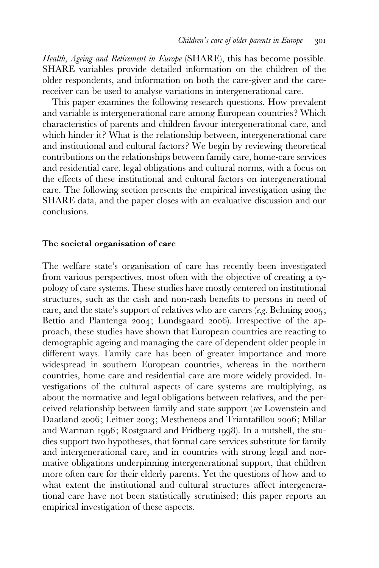Health, Ageing and Retirement in Europe (SHARE), this has become possible. SHARE variables provide detailed information on the children of the older respondents, and information on both the care-giver and the carereceiver can be used to analyse variations in intergenerational care.

This paper examines the following research questions. How prevalent and variable is intergenerational care among European countries? Which characteristics of parents and children favour intergenerational care, and which hinder it? What is the relationship between, intergenerational care and institutional and cultural factors ? We begin by reviewing theoretical contributions on the relationships between family care, home-care services and residential care, legal obligations and cultural norms, with a focus on the effects of these institutional and cultural factors on intergenerational care. The following section presents the empirical investigation using the SHARE data, and the paper closes with an evaluative discussion and our conclusions.

## The societal organisation of care

The welfare state's organisation of care has recently been investigated from various perspectives, most often with the objective of creating a typology of care systems. These studies have mostly centered on institutional structures, such as the cash and non-cash benefits to persons in need of care, and the state's support of relatives who are carers (e.g. Behning 2005; Bettio and Plantenga 2004; Lundsgaard 2006). Irrespective of the approach, these studies have shown that European countries are reacting to demographic ageing and managing the care of dependent older people in different ways. Family care has been of greater importance and more widespread in southern European countries, whereas in the northern countries, home care and residential care are more widely provided. Investigations of the cultural aspects of care systems are multiplying, as about the normative and legal obligations between relatives, and the perceived relationship between family and state support (see Lowenstein and Daatland 2006; Leitner 2003; Mestheneos and Triantafillou 2006; Millar and Warman 1996; Rostgaard and Fridberg 1998). In a nutshell, the studies support two hypotheses, that formal care services substitute for family and intergenerational care, and in countries with strong legal and normative obligations underpinning intergenerational support, that children more often care for their elderly parents. Yet the questions of how and to what extent the institutional and cultural structures affect intergenerational care have not been statistically scrutinised; this paper reports an empirical investigation of these aspects.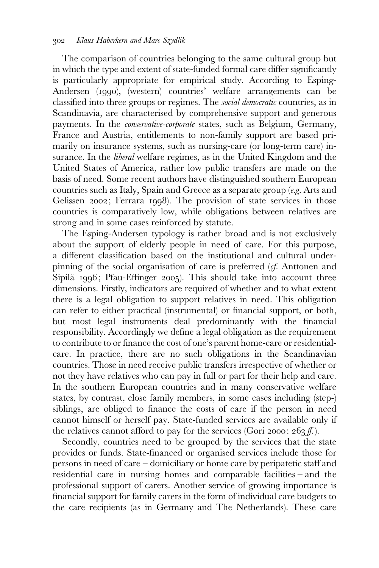The comparison of countries belonging to the same cultural group but in which the type and extent of state-funded formal care differ significantly is particularly appropriate for empirical study. According to Esping-Andersen (1990), (western) countries' welfare arrangements can be classified into three groups or regimes. The social democratic countries, as in Scandinavia, are characterised by comprehensive support and generous payments. In the conservative-corporate states, such as Belgium, Germany, France and Austria, entitlements to non-family support are based primarily on insurance systems, such as nursing-care (or long-term care) insurance. In the *liberal* welfare regimes, as in the United Kingdom and the United States of America, rather low public transfers are made on the basis of need. Some recent authors have distinguished southern European countries such as Italy, Spain and Greece as a separate group (e.g. Arts and Gelissen 2002; Ferrara 1998). The provision of state services in those countries is comparatively low, while obligations between relatives are strong and in some cases reinforced by statute.

The Esping-Andersen typology is rather broad and is not exclusively about the support of elderly people in need of care. For this purpose, a different classification based on the institutional and cultural underpinning of the social organisation of care is preferred (cf. Anttonen and Sipilä 1996; Pfau-Effinger 2005). This should take into account three dimensions. Firstly, indicators are required of whether and to what extent there is a legal obligation to support relatives in need. This obligation can refer to either practical (instrumental) or financial support, or both, but most legal instruments deal predominantly with the financial responsibility. Accordingly we define a legal obligation as the requirement to contribute to or finance the cost of one's parent home-care or residentialcare. In practice, there are no such obligations in the Scandinavian countries. Those in need receive public transfers irrespective of whether or not they have relatives who can pay in full or part for their help and care. In the southern European countries and in many conservative welfare states, by contrast, close family members, in some cases including (step-) siblings, are obliged to finance the costs of care if the person in need cannot himself or herself pay. State-funded services are available only if the relatives cannot afford to pay for the services (Gori 2000:  $263 \text{ ft}$ ).

Secondly, countries need to be grouped by the services that the state provides or funds. State-financed or organised services include those for persons in need of care – domiciliary or home care by peripatetic staff and residential care in nursing homes and comparable facilities – and the professional support of carers. Another service of growing importance is financial support for family carers in the form of individual care budgets to the care recipients (as in Germany and The Netherlands). These care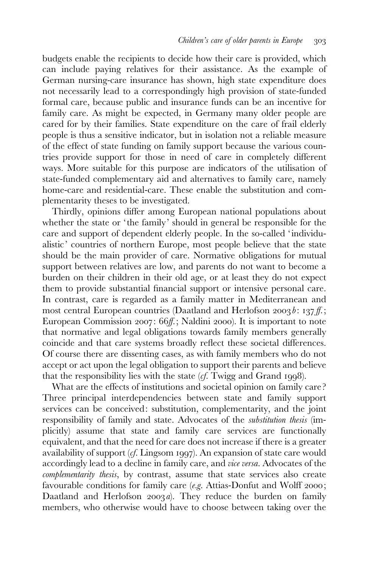budgets enable the recipients to decide how their care is provided, which can include paying relatives for their assistance. As the example of German nursing-care insurance has shown, high state expenditure does not necessarily lead to a correspondingly high provision of state-funded formal care, because public and insurance funds can be an incentive for family care. As might be expected, in Germany many older people are cared for by their families. State expenditure on the care of frail elderly people is thus a sensitive indicator, but in isolation not a reliable measure of the effect of state funding on family support because the various countries provide support for those in need of care in completely different ways. More suitable for this purpose are indicators of the utilisation of state-funded complementary aid and alternatives to family care, namely home-care and residential-care. These enable the substitution and complementarity theses to be investigated.

Thirdly, opinions differ among European national populations about whether the state or 'the family' should in general be responsible for the care and support of dependent elderly people. In the so-called 'individualistic' countries of northern Europe, most people believe that the state should be the main provider of care. Normative obligations for mutual support between relatives are low, and parents do not want to become a burden on their children in their old age, or at least they do not expect them to provide substantial financial support or intensive personal care. In contrast, care is regarded as a family matter in Mediterranean and most central European countries (Daatland and Herlofson 2003 b: 137 ff.; European Commission 2007: 66ff.; Naldini 2000). It is important to note that normative and legal obligations towards family members generally coincide and that care systems broadly reflect these societal differences. Of course there are dissenting cases, as with family members who do not accept or act upon the legal obligation to support their parents and believe that the responsibility lies with the state (cf. Twigg and Grand 1998).

What are the effects of institutions and societal opinion on family care? Three principal interdependencies between state and family support services can be conceived: substitution, complementarity, and the joint responsibility of family and state. Advocates of the substitution thesis (implicitly) assume that state and family care services are functionally equivalent, and that the need for care does not increase if there is a greater availability of support  $(cf.$  Lingsom 1997). An expansion of state care would accordingly lead to a decline in family care, and vice versa. Advocates of the complementarity thesis, by contrast, assume that state services also create favourable conditions for family care (e.g. Attias-Donfut and Wolff 2000; Daatland and Herlofson 2003a). They reduce the burden on family members, who otherwise would have to choose between taking over the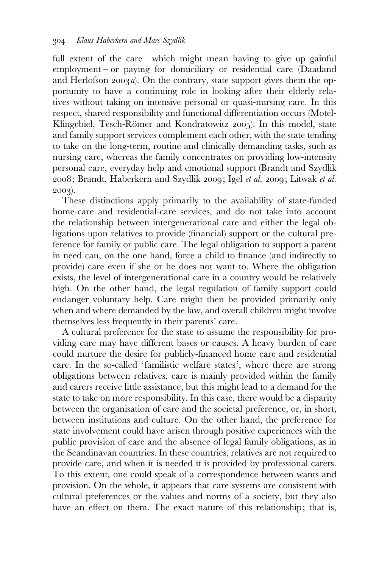full extent of the care – which might mean having to give up gainful employment – or paying for domiciliary or residential care (Daatland and Herlofson  $2003a$ . On the contrary, state support gives them the opportunity to have a continuing role in looking after their elderly relatives without taking on intensive personal or quasi-nursing care. In this respect, shared responsibility and functional differentiation occurs (Motel-Klingebiel, Tesch-Römer and Kondratowitz 2005). In this model, state and family support services complement each other, with the state tending to take on the long-term, routine and clinically demanding tasks, such as nursing care, whereas the family concentrates on providing low-intensity personal care, everyday help and emotional support (Brandt and Szydlik 2008; Brandt, Haberkern and Szydlik 2009; Igel et al. 2009; Litwak et al. 2003).

These distinctions apply primarily to the availability of state-funded home-care and residential-care services, and do not take into account the relationship between intergenerational care and either the legal obligations upon relatives to provide (financial) support or the cultural preference for family or public care. The legal obligation to support a parent in need can, on the one hand, force a child to finance (and indirectly to provide) care even if she or he does not want to. Where the obligation exists, the level of intergenerational care in a country would be relatively high. On the other hand, the legal regulation of family support could endanger voluntary help. Care might then be provided primarily only when and where demanded by the law, and overall children might involve themselves less frequently in their parents' care.

A cultural preference for the state to assume the responsibility for providing care may have different bases or causes. A heavy burden of care could nurture the desire for publicly-financed home care and residential care. In the so-called 'familistic welfare states', where there are strong obligations between relatives, care is mainly provided within the family and carers receive little assistance, but this might lead to a demand for the state to take on more responsibility. In this case, there would be a disparity between the organisation of care and the societal preference, or, in short, between institutions and culture. On the other hand, the preference for state involvement could have arisen through positive experiences with the public provision of care and the absence of legal family obligations, as in the Scandinavan countries. In these countries, relatives are not required to provide care, and when it is needed it is provided by professional carers. To this extent, one could speak of a correspondence between wants and provision. On the whole, it appears that care systems are consistent with cultural preferences or the values and norms of a society, but they also have an effect on them. The exact nature of this relationship; that is,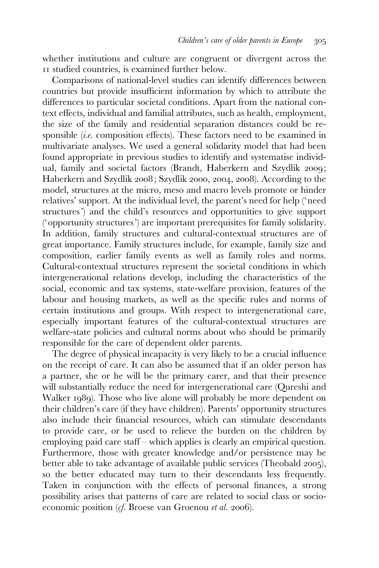whether institutions and culture are congruent or divergent across the 11 studied countries, is examined further below.

Comparisons of national-level studies can identify differences between countries but provide insufficient information by which to attribute the differences to particular societal conditions. Apart from the national context effects, individual and familial attributes, such as health, employment, the size of the family and residential separation distances could be responsible *(i.e.* composition effects). These factors need to be examined in multivariate analyses. We used a general solidarity model that had been found appropriate in previous studies to identify and systematise individual, family and societal factors (Brandt, Haberkern and Szydlik 2009; Haberkern and Szydlik 2008; Szydlik 2000, 2004, 2008). According to the model, structures at the micro, meso and macro levels promote or hinder relatives' support. At the individual level, the parent's need for help ('need structures') and the child's resources and opportunities to give support (' opportunity structures') are important prerequisites for family solidarity. In addition, family structures and cultural-contextual structures are of great importance. Family structures include, for example, family size and composition, earlier family events as well as family roles and norms. Cultural-contextual structures represent the societal conditions in which intergenerational relations develop, including the characteristics of the social, economic and tax systems, state-welfare provision, features of the labour and housing markets, as well as the specific rules and norms of certain institutions and groups. With respect to intergenerational care, especially important features of the cultural-contextual structures are welfare-state policies and cultural norms about who should be primarily responsible for the care of dependent older parents.

The degree of physical incapacity is very likely to be a crucial influence on the receipt of care. It can also be assumed that if an older person has a partner, she or he will be the primary carer, and that their presence will substantially reduce the need for intergenerational care (Qureshi and Walker 1989). Those who live alone will probably be more dependent on their children's care (if they have children). Parents' opportunity structures also include their financial resources, which can stimulate descendants to provide care, or be used to relieve the burden on the children by employing paid care staff – which applies is clearly an empirical question. Furthermore, those with greater knowledge and/or persistence may be better able to take advantage of available public services (Theobald 2005), so the better educated may turn to their descendants less frequently. Taken in conjunction with the effects of personal finances, a strong possibility arises that patterns of care are related to social class or socioeconomic position (cf. Broese van Groenou et al. 2006).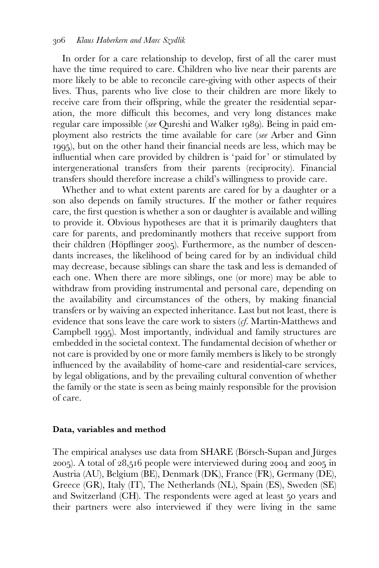In order for a care relationship to develop, first of all the carer must have the time required to care. Children who live near their parents are more likely to be able to reconcile care-giving with other aspects of their lives. Thus, parents who live close to their children are more likely to receive care from their offspring, while the greater the residential separation, the more difficult this becomes, and very long distances make regular care impossible (see Qureshi and Walker 1989). Being in paid employment also restricts the time available for care (see Arber and Ginn 1995), but on the other hand their financial needs are less, which may be influential when care provided by children is 'paid for' or stimulated by intergenerational transfers from their parents (reciprocity). Financial transfers should therefore increase a child's willingness to provide care.

Whether and to what extent parents are cared for by a daughter or a son also depends on family structures. If the mother or father requires care, the first question is whether a son or daughter is available and willing to provide it. Obvious hypotheses are that it is primarily daughters that care for parents, and predominantly mothers that receive support from their children (Höpflinger 2005). Furthermore, as the number of descendants increases, the likelihood of being cared for by an individual child may decrease, because siblings can share the task and less is demanded of each one. When there are more siblings, one (or more) may be able to withdraw from providing instrumental and personal care, depending on the availability and circumstances of the others, by making financial transfers or by waiving an expected inheritance. Last but not least, there is evidence that sons leave the care work to sisters  $(cf.$  Martin-Matthews and Campbell 1995). Most importantly, individual and family structures are embedded in the societal context. The fundamental decision of whether or not care is provided by one or more family members is likely to be strongly influenced by the availability of home-care and residential-care services, by legal obligations, and by the prevailing cultural convention of whether the family or the state is seen as being mainly responsible for the provision of care.

#### Data, variables and method

The empirical analyses use data from SHARE (Börsch-Supan and Jürges 2005). A total of 28,516 people were interviewed during 2004 and 2005 in Austria (AU), Belgium (BE), Denmark (DK), France (FR), Germany (DE), Greece (GR), Italy (IT), The Netherlands (NL), Spain (ES), Sweden (SE) and Switzerland (CH). The respondents were aged at least 50 years and their partners were also interviewed if they were living in the same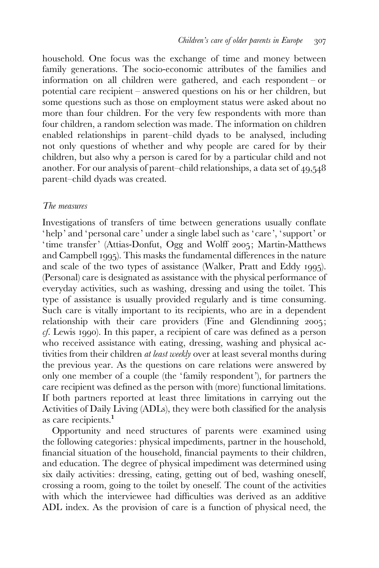household. One focus was the exchange of time and money between family generations. The socio-economic attributes of the families and information on all children were gathered, and each respondent – or potential care recipient – answered questions on his or her children, but some questions such as those on employment status were asked about no more than four children. For the very few respondents with more than four children, a random selection was made. The information on children enabled relationships in parent–child dyads to be analysed, including not only questions of whether and why people are cared for by their children, but also why a person is cared for by a particular child and not another. For our analysis of parent–child relationships, a data set of 49,548 parent–child dyads was created.

#### The measures

Investigations of transfers of time between generations usually conflate 'help' and 'personal care' under a single label such as 'care', ' support' or 'time transfer' (Attias-Donfut, Ogg and Wolff 2005; Martin-Matthews and Campbell 1995). This masks the fundamental differences in the nature and scale of the two types of assistance (Walker, Pratt and Eddy 1995). (Personal) care is designated as assistance with the physical performance of everyday activities, such as washing, dressing and using the toilet. This type of assistance is usually provided regularly and is time consuming. Such care is vitally important to its recipients, who are in a dependent relationship with their care providers (Fine and Glendinning 2005;  $cf.$  Lewis 1990). In this paper, a recipient of care was defined as a person who received assistance with eating, dressing, washing and physical activities from their children *at least weekly* over at least several months during the previous year. As the questions on care relations were answered by only one member of a couple (the 'family respondent'), for partners the care recipient was defined as the person with (more) functional limitations. If both partners reported at least three limitations in carrying out the Activities of Daily Living (ADLs), they were both classified for the analysis as care recipients.<sup>1</sup>

Opportunity and need structures of parents were examined using the following categories: physical impediments, partner in the household, financial situation of the household, financial payments to their children, and education. The degree of physical impediment was determined using six daily activities: dressing, eating, getting out of bed, washing oneself, crossing a room, going to the toilet by oneself. The count of the activities with which the interviewee had difficulties was derived as an additive ADL index. As the provision of care is a function of physical need, the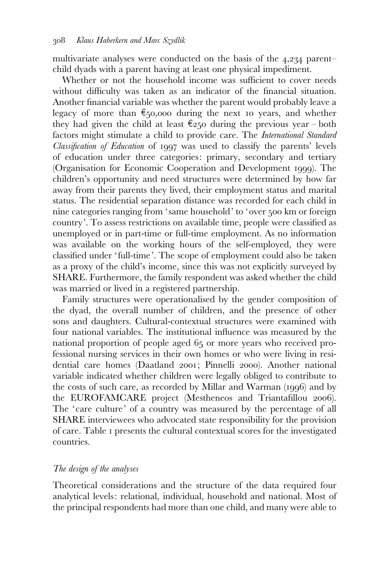multivariate analyses were conducted on the basis of the 4,234 parent– child dyads with a parent having at least one physical impediment.

Whether or not the household income was sufficient to cover needs without difficulty was taken as an indicator of the financial situation. Another financial variable was whether the parent would probably leave a legacy of more than  $\xi_{50,000}$  during the next 10 years, and whether they had given the child at least  $\epsilon_{250}$  during the previous year – both factors might stimulate a child to provide care. The International Standard Classification of Education of 1997 was used to classify the parents' levels of education under three categories: primary, secondary and tertiary (Organisation for Economic Cooperation and Development 1999). The children's opportunity and need structures were determined by how far away from their parents they lived, their employment status and marital status. The residential separation distance was recorded for each child in nine categories ranging from ' same household' to ' over 500 km or foreign country'. To assess restrictions on available time, people were classified as unemployed or in part-time or full-time employment. As no information was available on the working hours of the self-employed, they were classified under 'full-time'. The scope of employment could also be taken as a proxy of the child's income, since this was not explicitly surveyed by SHARE. Furthermore, the family respondent was asked whether the child was married or lived in a registered partnership.

Family structures were operationalised by the gender composition of the dyad, the overall number of children, and the presence of other sons and daughters. Cultural-contextual structures were examined with four national variables. The institutional influence was measured by the national proportion of people aged 65 or more years who received professional nursing services in their own homes or who were living in residential care homes (Daatland 2001; Pinnelli 2000). Another national variable indicated whether children were legally obliged to contribute to the costs of such care, as recorded by Millar and Warman (1996) and by the EUROFAMCARE project (Mestheneos and Triantafillou 2006). The 'care culture' of a country was measured by the percentage of all SHARE interviewees who advocated state responsibility for the provision of care. Table 1 presents the cultural contextual scores for the investigated countries.

## The design of the analyses

Theoretical considerations and the structure of the data required four analytical levels: relational, individual, household and national. Most of the principal respondents had more than one child, and many were able to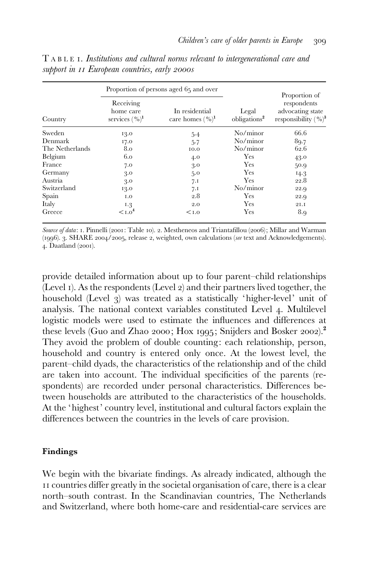|                 |                                             | Proportion of persons aged 65 and over |                                   | Proportion of<br>respondents<br>advocating state<br>responsibility $(\%)^3$ |  |
|-----------------|---------------------------------------------|----------------------------------------|-----------------------------------|-----------------------------------------------------------------------------|--|
| Country         | Receiving<br>home care<br>services $(\%)^1$ | In residential<br>care homes $(\%)^1$  | Legal<br>obligations <sup>2</sup> |                                                                             |  |
| Sweden          | 13.0                                        | $5 - 4$                                | No/minor                          | 66.6                                                                        |  |
| Denmark         | 17.0                                        | $5-7$                                  | No/minor                          | 89.7                                                                        |  |
| The Netherlands | 8.0                                         | 10.0                                   | No/minor                          | 62.6                                                                        |  |
| Belgium         | 6.0                                         | 4.0                                    | Yes                               | 43.0                                                                        |  |
| France          | 7.0                                         | 3.0                                    | Yes                               | 50.9                                                                        |  |
| Germany         | 3.0                                         | 5.0                                    | Yes                               | 14.3                                                                        |  |
| Austria         | 3.0                                         | 7.1                                    | Yes                               | 22.8                                                                        |  |
| Switzerland     | 13.0                                        | 7.1                                    | No/minor                          | 22.9                                                                        |  |
| Spain           | 1.0                                         | 2.8                                    | Yes                               | 22.9                                                                        |  |
| Italy           | 1.3                                         | 2.0                                    | Yes                               | 21.I                                                                        |  |
| Greece          | $1.04$                                      | < 1.0                                  | Yes                               | 8.9                                                                         |  |

T ABLE 1. Institutions and cultural norms relevant to intergenerational care and support in 11 European countries, early 2000s

Source of data: 1. Pinnelli (2001: Table 10). 2. Mestheneos and Triantafillou (2006); Millar and Warman (1996). 3. SHARE 2004/2005, release 2, weighted, own calculations (see text and Acknowledgements). 4. Daatland (2001).

provide detailed information about up to four parent–child relationships (Level 1). As the respondents (Level 2) and their partners lived together, the household (Level 3) was treated as a statistically 'higher-level' unit of analysis. The national context variables constituted Level 4. Multilevel logistic models were used to estimate the influences and differences at these levels (Guo and Zhao 2000; Hox 1995; Snijders and Bosker 2002).<sup>2</sup> They avoid the problem of double counting: each relationship, person, household and country is entered only once. At the lowest level, the parent–child dyads, the characteristics of the relationship and of the child are taken into account. The individual specificities of the parents (respondents) are recorded under personal characteristics. Differences between households are attributed to the characteristics of the households. At the 'highest' country level, institutional and cultural factors explain the differences between the countries in the levels of care provision.

#### Findings

We begin with the bivariate findings. As already indicated, although the 11 countries differ greatly in the societal organisation of care, there is a clear north–south contrast. In the Scandinavian countries, The Netherlands and Switzerland, where both home-care and residential-care services are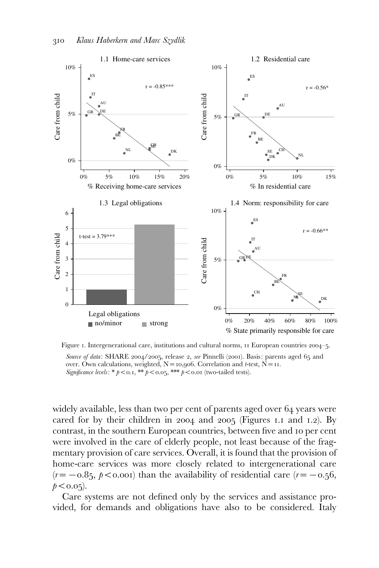

Figure 1. Intergenerational care, institutions and cultural norms, 11 European countries 2004–5. Source of data: SHARE 2004/2005, release 2, see Pinnelli (2001). Basis: parents aged 65 and over. Own calculations, weighted,  $N=10,906$ . Correlation and t-test,  $N=11$ . Significance levels: \*  $p < 0.1$ , \*\*  $p < 0.05$ , \*\*\*  $p < 0.01$  (two-tailed tests).

widely available, less than two per cent of parents aged over 64 years were cared for by their children in 2004 and 2005 (Figures 1.1 and 1.2). By contrast, in the southern European countries, between five and 10 per cent were involved in the care of elderly people, not least because of the fragmentary provision of care services. Overall, it is found that the provision of home-care services was more closely related to intergenerational care  $(r=-0.85, p<0.001)$  than the availability of residential care  $(r=-0.56,$  $p < 0.05$ ).

Care systems are not defined only by the services and assistance provided, for demands and obligations have also to be considered. Italy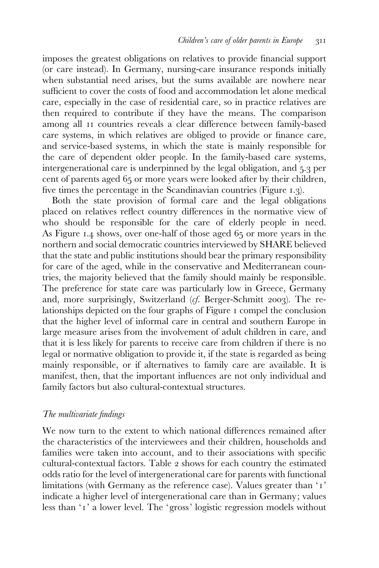imposes the greatest obligations on relatives to provide financial support (or care instead). In Germany, nursing-care insurance responds initially when substantial need arises, but the sums available are nowhere near sufficient to cover the costs of food and accommodation let alone medical care, especially in the case of residential care, so in practice relatives are then required to contribute if they have the means. The comparison among all 11 countries reveals a clear difference between family-based care systems, in which relatives are obliged to provide or finance care, and service-based systems, in which the state is mainly responsible for the care of dependent older people. In the family-based care systems, intergenerational care is underpinned by the legal obligation, and 5.3 per cent of parents aged 65 or more years were looked after by their children, five times the percentage in the Scandinavian countries (Figure 1.3).

Both the state provision of formal care and the legal obligations placed on relatives reflect country differences in the normative view of who should be responsible for the care of elderly people in need. As Figure 1.4 shows, over one-half of those aged 65 or more years in the northern and social democratic countries interviewed by SHARE believed that the state and public institutions should bear the primary responsibility for care of the aged, while in the conservative and Mediterranean countries, the majority believed that the family should mainly be responsible. The preference for state care was particularly low in Greece, Germany and, more surprisingly, Switzerland (cf. Berger-Schmitt 2003). The relationships depicted on the four graphs of Figure 1 compel the conclusion that the higher level of informal care in central and southern Europe in large measure arises from the involvement of adult children in care, and that it is less likely for parents to receive care from children if there is no legal or normative obligation to provide it, if the state is regarded as being mainly responsible, or if alternatives to family care are available. It is manifest, then, that the important influences are not only individual and family factors but also cultural-contextual structures.

## The multivariate findings

We now turn to the extent to which national differences remained after the characteristics of the interviewees and their children, households and families were taken into account, and to their associations with specific cultural-contextual factors. Table 2 shows for each country the estimated odds ratio for the level of intergenerational care for parents with functional limitations (with Germany as the reference case). Values greater than '1' indicate a higher level of intergenerational care than in Germany; values less than ' 1' a lower level. The 'gross' logistic regression models without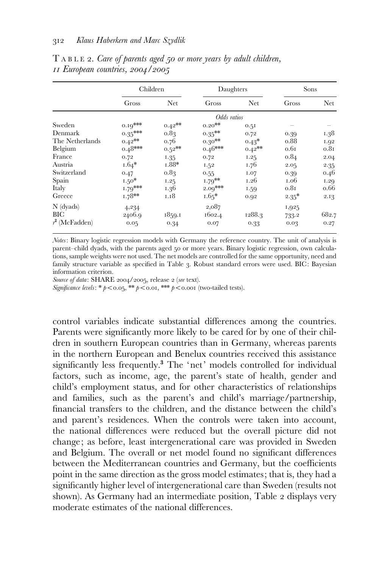|                  | Children       |                   | Daughters |             | Sons    |            |  |  |
|------------------|----------------|-------------------|-----------|-------------|---------|------------|--|--|
|                  | Gross          | Net               | Gross     | <b>Net</b>  | Gross   | <b>Net</b> |  |  |
|                  | Odds ratios    |                   |           |             |         |            |  |  |
| Sweden           | $0.19***$      | $0.42^{\ast\ast}$ | $0.20***$ | 0.51        |         |            |  |  |
| Denmark          | $0.35^{***}\,$ | 0.83              | $0.35***$ | 0.72        | 0.39    | 1.38       |  |  |
| The Netherlands  | $0.42^{*\!*}$  | 0.76              | $0.30***$ | $0.43*$     | 0.88    | 1.92       |  |  |
| Belgium          | $0.48***$      | $0.52***$         | $0.46***$ | $0.42^{**}$ | 0.61    | 0.81       |  |  |
| France           | 0.72           | 1.35              | 0.72      | 1.25        | 0.84    | 2.04       |  |  |
| Austria          | $1.64*$        | 1.88*             | 1.52      | 1.76        | 2.05    | 2.35       |  |  |
| Switzerland      | 0.47           | 0.83              | 0.55      | 1.07        | 0.39    | 0.46       |  |  |
| Spain            | $1.50*$        | 1.25              | $1.79***$ | 1.26        | 1.06    | 1.29       |  |  |
| Italy            | $1.79***$      | 1.36              | $2.09***$ | 1.59        | 0.81    | 0.66       |  |  |
| Greece           | $1.78**$       | 1.18              | $1.65*$   | 0.92        | $2.35*$ | 2.13       |  |  |
| $N$ (dyads)      | 4,234          |                   | 2,087     |             | 1,925   |            |  |  |
| BIC              | 2406.9         | 1859.1            | 1602.4    | 1288.3      | 733.2   | 682.7      |  |  |
| $r^2$ (McFadden) | 0.05           | 0.34              | 0.07      | 0.33        | 0.03    | 0.27       |  |  |

 $T A B L E 2$ . Care of parents aged  $50$  or more years by adult children, 11 European countries, 2004/2005

Notes: Binary logistic regression models with Germany the reference country. The unit of analysis is parent–child dyads, with the parents aged 50 or more years. Binary logistic regression, own calculations, sample weights were not used. The net models are controlled for the same opportunity, need and family structure variable as specified in Table 3. Robust standard errors were used. BIC: Bayesian information criterion.

Source of data: SHARE 2004/2005, release 2 (see text).

Significance levels: \*  $p < 0.05$ , \*\*  $p < 0.01$ , \*\*\*  $p < 0.001$  (two-tailed tests).

control variables indicate substantial differences among the countries. Parents were significantly more likely to be cared for by one of their children in southern European countries than in Germany, whereas parents in the northern European and Benelux countries received this assistance significantly less frequently.<sup>3</sup> The 'net' models controlled for individual factors, such as income, age, the parent's state of health, gender and child's employment status, and for other characteristics of relationships and families, such as the parent's and child's marriage/partnership, financial transfers to the children, and the distance between the child's and parent's residences. When the controls were taken into account, the national differences were reduced but the overall picture did not change; as before, least intergenerational care was provided in Sweden and Belgium. The overall or net model found no significant differences between the Mediterranean countries and Germany, but the coefficients point in the same direction as the gross model estimates; that is, they had a significantly higher level of intergenerational care than Sweden (results not shown). As Germany had an intermediate position, Table 2 displays very moderate estimates of the national differences.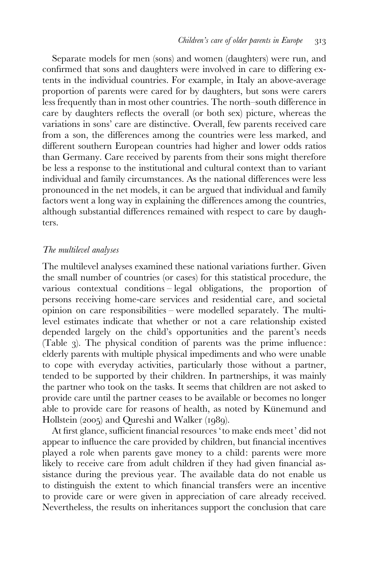Separate models for men (sons) and women (daughters) were run, and confirmed that sons and daughters were involved in care to differing extents in the individual countries. For example, in Italy an above-average proportion of parents were cared for by daughters, but sons were carers less frequently than in most other countries. The north–south difference in care by daughters reflects the overall (or both sex) picture, whereas the variations in sons' care are distinctive. Overall, few parents received care from a son, the differences among the countries were less marked, and different southern European countries had higher and lower odds ratios than Germany. Care received by parents from their sons might therefore be less a response to the institutional and cultural context than to variant individual and family circumstances. As the national differences were less pronounced in the net models, it can be argued that individual and family factors went a long way in explaining the differences among the countries, although substantial differences remained with respect to care by daughters.

## The multilevel analyses

The multilevel analyses examined these national variations further. Given the small number of countries (or cases) for this statistical procedure, the various contextual conditions – legal obligations, the proportion of persons receiving home-care services and residential care, and societal opinion on care responsibilities – were modelled separately. The multilevel estimates indicate that whether or not a care relationship existed depended largely on the child's opportunities and the parent's needs (Table 3). The physical condition of parents was the prime influence: elderly parents with multiple physical impediments and who were unable to cope with everyday activities, particularly those without a partner, tended to be supported by their children. In partnerships, it was mainly the partner who took on the tasks. It seems that children are not asked to provide care until the partner ceases to be available or becomes no longer able to provide care for reasons of health, as noted by Künemund and Hollstein (2005) and Qureshi and Walker (1989).

At first glance, sufficient financial resources 'to make ends meet' did not appear to influence the care provided by children, but financial incentives played a role when parents gave money to a child: parents were more likely to receive care from adult children if they had given financial assistance during the previous year. The available data do not enable us to distinguish the extent to which financial transfers were an incentive to provide care or were given in appreciation of care already received. Nevertheless, the results on inheritances support the conclusion that care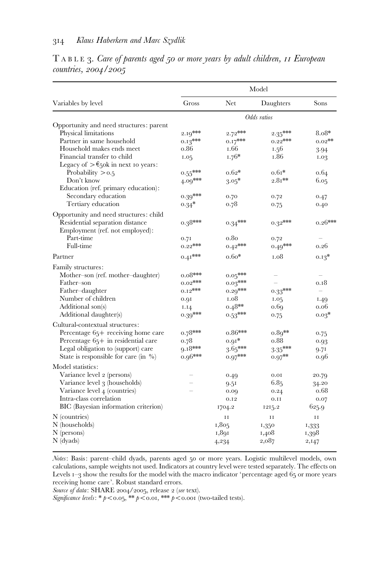|                                              | Model             |              |                   |                          |  |
|----------------------------------------------|-------------------|--------------|-------------------|--------------------------|--|
| Variables by level                           | Gross             | Net          | Daughters         | Sons                     |  |
|                                              | Odds ratios       |              |                   |                          |  |
| Opportunity and need structures: parent      |                   |              |                   |                          |  |
| Physical limitations                         | $2.19***$         | $2.72***$    | $2.35***$         | $8.08*$                  |  |
| Partner in same household                    | $0.13***$         | $0.17***$    | $0.22***$         | $0.02$ **                |  |
| Household makes ends meet                    | 0.86              | 1.66         | 1.56              | 3.94                     |  |
| Financial transfer to child                  | 1.05              | $1.76*$      | 1.86              | 1.03                     |  |
| Legacy of $>\epsilon_5$ ok in next to years: |                   |              |                   |                          |  |
| Probability $> 0.5$                          | $0.55***$         | $0.62*$      | $0.61*$           | 0.64                     |  |
| Don't know                                   | $4.09***$         | $3.05*$      | $2.81**$          | 6.05                     |  |
| Education (ref. primary education):          |                   |              |                   |                          |  |
| Secondary education                          | $0.39***$         | 0.70         | 0.72              | 0.47                     |  |
| Tertiary education                           | $0.34*$           | 0.78         | 0.75              | 0.40                     |  |
| Opportunity and need structures: child       |                   |              |                   |                          |  |
| Residential separation distance              | $0.38***$         | $0.34***$    | $0.32***$         | $0.26***$                |  |
|                                              |                   |              |                   |                          |  |
| Employment (ref. not employed):<br>Part-time |                   | $_{0.80}$    |                   |                          |  |
| Full-time                                    | 0.71<br>$0.22***$ | $0.42***$    | 0.72<br>$0.49***$ | 0.26                     |  |
|                                              |                   |              |                   |                          |  |
| Partner                                      | $0.41***$         | $0.60*$      | 1.08              | $0.13*$                  |  |
| Family structures:                           |                   |              |                   |                          |  |
| Mother-son (ref. mother-daughter)            | $0.08***$         | $0.05***$    |                   |                          |  |
| Father-son                                   | $0.02$ ***        | $0.03***$    |                   | 0.18                     |  |
| Father-daughter                              | $0.12$ ***        | $0.29***$    | $0.33***$         | $\overline{\phantom{0}}$ |  |
| Number of children                           | 0.91              | 1.08         | 1.05              | 1.49                     |  |
| Additional son(s)                            | 1.14              | $0.48**$     | 0.69              | 0.06                     |  |
| Additional daughter(s)                       | $0.39***$         | $0.53***$    | 0.75              | $0.03*$                  |  |
| Cultural-contextual structures:              |                   |              |                   |                          |  |
| Percentage $65$ + receiving home care        | $0.78***$         | $0.86***$    | $0.89**$          | 0.75                     |  |
| Percentage $65+$ in residential care         | 0.78              | $0.91*$      | 0.88              | 0.93                     |  |
| Legal obligation to (support) care           | $9.18***$         | $3.65***$    | $3.35***$         | 9.71                     |  |
| State is responsible for care (in $\%$ )     | $0.96***$         | $0.97***$    | $0.97***$         | 0.96                     |  |
|                                              |                   |              |                   |                          |  |
| Model statistics:                            |                   |              |                   |                          |  |
| Variance level 2 (persons)                   |                   | 0.49         | 0.01              | 20.79                    |  |
| Variance level 3 (households)                |                   | 9.51         | 6.85              | 34.20                    |  |
| Variance level 4 (countries)                 |                   | 0.09         | 0.24              | 0.68                     |  |
| Intra-class correlation                      |                   | 0.12         | 0.11              | 0.07                     |  |
| BIC (Bayesian information criterion)         |                   | 1704.2       | 1215.2            | 625.9                    |  |
| N (countries)                                |                   | $\mathbf{I}$ | $\rm{I\,I}$       | H                        |  |
| N (households)                               |                   | 1,805        | 1,350             | 1,333                    |  |
| N (persons)                                  |                   | 1,891        | 1,408             | 1,398                    |  |
| $N$ (dyads)                                  |                   | 4,234        | 2,087             | 2,147                    |  |
|                                              |                   |              |                   |                          |  |

T ABLE 3. Care of parents aged 50 or more years by adult children, 11 European countries, 2004/2005

Notes: Basis: parent–child dyads, parents aged 50 or more years. Logistic multilevel models, own calculations, sample weights not used. Indicators at country level were tested separately. The effects on Levels 1-3 show the results for the model with the macro indicator 'percentage aged 65 or more years receiving home care'. Robust standard errors.

Source of data: SHARE 2004/2005, release 2 (see text).

Significance levels: \*  $p < 0.05$ , \*\*  $p < 0.01$ , \*\*\*  $p < 0.001$  (two-tailed tests).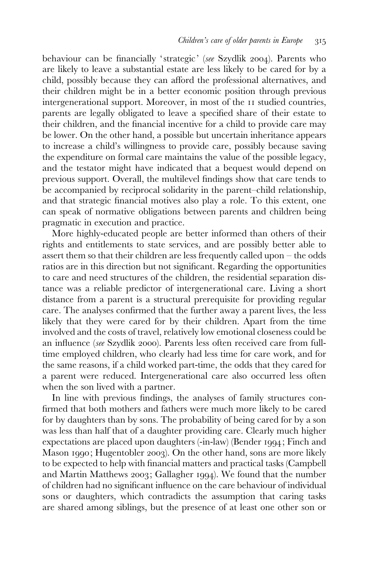behaviour can be financially 'strategic' (see Szydlik 2004). Parents who are likely to leave a substantial estate are less likely to be cared for by a child, possibly because they can afford the professional alternatives, and their children might be in a better economic position through previous intergenerational support. Moreover, in most of the 11 studied countries, parents are legally obligated to leave a specified share of their estate to their children, and the financial incentive for a child to provide care may be lower. On the other hand, a possible but uncertain inheritance appears to increase a child's willingness to provide care, possibly because saving the expenditure on formal care maintains the value of the possible legacy, and the testator might have indicated that a bequest would depend on previous support. Overall, the multilevel findings show that care tends to be accompanied by reciprocal solidarity in the parent–child relationship, and that strategic financial motives also play a role. To this extent, one can speak of normative obligations between parents and children being pragmatic in execution and practice.

More highly-educated people are better informed than others of their rights and entitlements to state services, and are possibly better able to assert them so that their children are less frequently called upon – the odds ratios are in this direction but not significant. Regarding the opportunities to care and need structures of the children, the residential separation distance was a reliable predictor of intergenerational care. Living a short distance from a parent is a structural prerequisite for providing regular care. The analyses confirmed that the further away a parent lives, the less likely that they were cared for by their children. Apart from the time involved and the costs of travel, relatively low emotional closeness could be an influence (see Szydlik 2000). Parents less often received care from fulltime employed children, who clearly had less time for care work, and for the same reasons, if a child worked part-time, the odds that they cared for a parent were reduced. Intergenerational care also occurred less often when the son lived with a partner.

In line with previous findings, the analyses of family structures confirmed that both mothers and fathers were much more likely to be cared for by daughters than by sons. The probability of being cared for by a son was less than half that of a daughter providing care. Clearly much higher expectations are placed upon daughters (-in-law) (Bender 1994; Finch and Mason 1990; Hugentobler 2003). On the other hand, sons are more likely to be expected to help with financial matters and practical tasks (Campbell and Martin Matthews 2003; Gallagher 1994). We found that the number of children had no significant influence on the care behaviour of individual sons or daughters, which contradicts the assumption that caring tasks are shared among siblings, but the presence of at least one other son or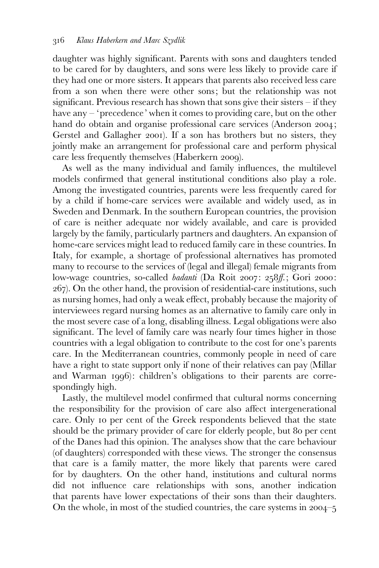daughter was highly significant. Parents with sons and daughters tended to be cared for by daughters, and sons were less likely to provide care if they had one or more sisters. It appears that parents also received less care from a son when there were other sons; but the relationship was not significant. Previous research has shown that sons give their sisters – if they have any – 'precedence' when it comes to providing care, but on the other hand do obtain and organise professional care services (Anderson 2004; Gerstel and Gallagher 2001). If a son has brothers but no sisters, they jointly make an arrangement for professional care and perform physical care less frequently themselves (Haberkern 2009).

As well as the many individual and family influences, the multilevel models confirmed that general institutional conditions also play a role. Among the investigated countries, parents were less frequently cared for by a child if home-care services were available and widely used, as in Sweden and Denmark. In the southern European countries, the provision of care is neither adequate nor widely available, and care is provided largely by the family, particularly partners and daughters. An expansion of home-care services might lead to reduced family care in these countries. In Italy, for example, a shortage of professional alternatives has promoted many to recourse to the services of (legal and illegal) female migrants from low-wage countries, so-called *badanti* (Da Roit 2007: 258*ff.*; Gori 2000: 267). On the other hand, the provision of residential-care institutions, such as nursing homes, had only a weak effect, probably because the majority of interviewees regard nursing homes as an alternative to family care only in the most severe case of a long, disabling illness. Legal obligations were also significant. The level of family care was nearly four times higher in those countries with a legal obligation to contribute to the cost for one's parents care. In the Mediterranean countries, commonly people in need of care have a right to state support only if none of their relatives can pay (Millar and Warman 1996): children's obligations to their parents are correspondingly high.

Lastly, the multilevel model confirmed that cultural norms concerning the responsibility for the provision of care also affect intergenerational care. Only 10 per cent of the Greek respondents believed that the state should be the primary provider of care for elderly people, but 80 per cent of the Danes had this opinion. The analyses show that the care behaviour (of daughters) corresponded with these views. The stronger the consensus that care is a family matter, the more likely that parents were cared for by daughters. On the other hand, institutions and cultural norms did not influence care relationships with sons, another indication that parents have lower expectations of their sons than their daughters. On the whole, in most of the studied countries, the care systems in 2004–5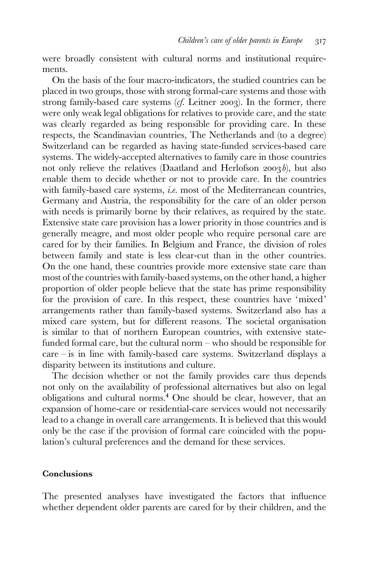were broadly consistent with cultural norms and institutional requirements.

On the basis of the four macro-indicators, the studied countries can be placed in two groups, those with strong formal-care systems and those with strong family-based care systems  $(cf.$  Leitner 2003). In the former, there were only weak legal obligations for relatives to provide care, and the state was clearly regarded as being responsible for providing care. In these respects, the Scandinavian countries, The Netherlands and (to a degree) Switzerland can be regarded as having state-funded services-based care systems. The widely-accepted alternatives to family care in those countries not only relieve the relatives (Daatland and Herlofson  $2003b$ ), but also enable them to decide whether or not to provide care. In the countries with family-based care systems, *i.e.* most of the Mediterranean countries, Germany and Austria, the responsibility for the care of an older person with needs is primarily borne by their relatives, as required by the state. Extensive state care provision has a lower priority in those countries and is generally meagre, and most older people who require personal care are cared for by their families. In Belgium and France, the division of roles between family and state is less clear-cut than in the other countries. On the one hand, these countries provide more extensive state care than most of the countries with family-based systems, on the other hand, a higher proportion of older people believe that the state has prime responsibility for the provision of care. In this respect, these countries have 'mixed' arrangements rather than family-based systems. Switzerland also has a mixed care system, but for different reasons. The societal organisation is similar to that of northern European countries, with extensive statefunded formal care, but the cultural norm – who should be responsible for care – is in line with family-based care systems. Switzerland displays a disparity between its institutions and culture.

The decision whether or not the family provides care thus depends not only on the availability of professional alternatives but also on legal obligations and cultural norms.<sup>4</sup> One should be clear, however, that an expansion of home-care or residential-care services would not necessarily lead to a change in overall care arrangements. It is believed that this would only be the case if the provision of formal care coincided with the population's cultural preferences and the demand for these services.

#### Conclusions

The presented analyses have investigated the factors that influence whether dependent older parents are cared for by their children, and the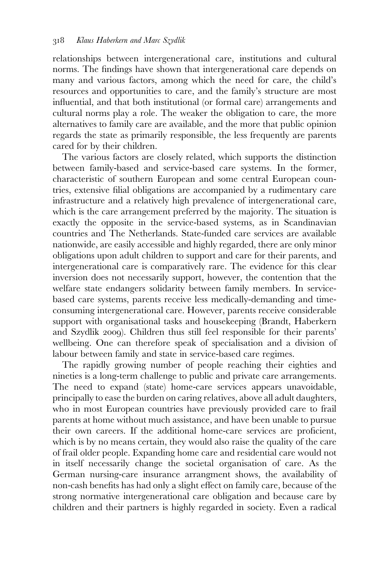relationships between intergenerational care, institutions and cultural norms. The findings have shown that intergenerational care depends on many and various factors, among which the need for care, the child's resources and opportunities to care, and the family's structure are most influential, and that both institutional (or formal care) arrangements and cultural norms play a role. The weaker the obligation to care, the more alternatives to family care are available, and the more that public opinion regards the state as primarily responsible, the less frequently are parents cared for by their children.

The various factors are closely related, which supports the distinction between family-based and service-based care systems. In the former, characteristic of southern European and some central European countries, extensive filial obligations are accompanied by a rudimentary care infrastructure and a relatively high prevalence of intergenerational care, which is the care arrangement preferred by the majority. The situation is exactly the opposite in the service-based systems, as in Scandinavian countries and The Netherlands. State-funded care services are available nationwide, are easily accessible and highly regarded, there are only minor obligations upon adult children to support and care for their parents, and intergenerational care is comparatively rare. The evidence for this clear inversion does not necessarily support, however, the contention that the welfare state endangers solidarity between family members. In servicebased care systems, parents receive less medically-demanding and timeconsuming intergenerational care. However, parents receive considerable support with organisational tasks and housekeeping (Brandt, Haberkern and Szydlik 2009). Children thus still feel responsible for their parents' wellbeing. One can therefore speak of specialisation and a division of labour between family and state in service-based care regimes.

The rapidly growing number of people reaching their eighties and nineties is a long-term challenge to public and private care arrangements. The need to expand (state) home-care services appears unavoidable, principally to ease the burden on caring relatives, above all adult daughters, who in most European countries have previously provided care to frail parents at home without much assistance, and have been unable to pursue their own careers. If the additional home-care services are proficient, which is by no means certain, they would also raise the quality of the care of frail older people. Expanding home care and residential care would not in itself necessarily change the societal organisation of care. As the German nursing-care insurance arrangment shows, the availability of non-cash benefits has had only a slight effect on family care, because of the strong normative intergenerational care obligation and because care by children and their partners is highly regarded in society. Even a radical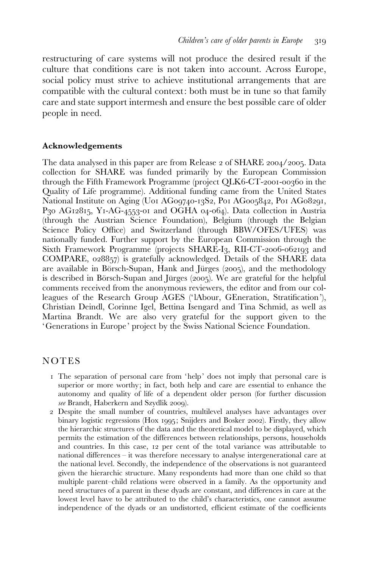restructuring of care systems will not produce the desired result if the culture that conditions care is not taken into account. Across Europe, social policy must strive to achieve institutional arrangements that are compatible with the cultural context: both must be in tune so that family care and state support intermesh and ensure the best possible care of older people in need.

#### Acknowledgements

The data analysed in this paper are from Release 2 of SHARE 2004/2005. Data collection for SHARE was funded primarily by the European Commission through the Fifth Framework Programme (project QLK6-CT-2001-00360 in the Quality of Life programme). Additional funding came from the United States National Institute on Aging (U01 AG09740-13S2, P01 AG005842, P01 AG08291, P30 AG12815, Y1-AG-4553-01 and OGHA 04-064). Data collection in Austria (through the Austrian Science Foundation), Belgium (through the Belgian Science Policy Office) and Switzerland (through BBW/OFES/UFES) was nationally funded. Further support by the European Commission through the Sixth Framework Programme (projects SHARE-I3, RII-CT-2006-062193 and COMPARE, 028857) is gratefully acknowledged. Details of the SHARE data are available in Börsch-Supan, Hank and Jürges (2005), and the methodology is described in Börsch-Supan and Jürges (2005). We are grateful for the helpful comments received from the anonymous reviewers, the editor and from our colleagues of the Research Group AGES ('lAbour, GEneration, Stratification'), Christian Deindl, Corinne Igel, Bettina Isengard and Tina Schmid, as well as Martina Brandt. We are also very grateful for the support given to the 'Generations in Europe' project by the Swiss National Science Foundation.

# **NOTES**

- 1 The separation of personal care from 'help' does not imply that personal care is superior or more worthy; in fact, both help and care are essential to enhance the autonomy and quality of life of a dependent older person (for further discussion see Brandt, Haberkern and Szydlik 2009).
- 2 Despite the small number of countries, multilevel analyses have advantages over binary logistic regressions (Hox 1995; Snijders and Bosker 2002). Firstly, they allow the hierarchic structures of the data and the theoretical model to be displayed, which permits the estimation of the differences between relationships, persons, households and countries. In this case, 12 per cent of the total variance was attributable to national differences – it was therefore necessary to analyse intergenerational care at the national level. Secondly, the independence of the observations is not guaranteed given the hierarchic structure. Many respondents had more than one child so that multiple parent–child relations were observed in a family. As the opportunity and need structures of a parent in these dyads are constant, and differences in care at the lowest level have to be attributed to the child's characteristics, one cannot assume independence of the dyads or an undistorted, efficient estimate of the coefficients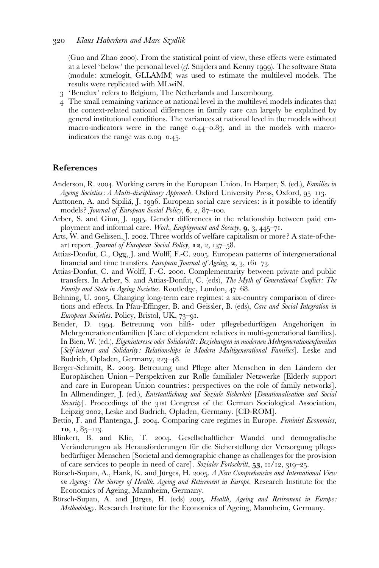(Guo and Zhao 2000). From the statistical point of view, these effects were estimated at a level 'below' the personal level (cf. Snijders and Kenny 1999). The software Stata (module: xtmelogit, GLLAMM) was used to estimate the multilevel models. The results were replicated with MLwiN.

- 3 'Benelux' refers to Belgium, The Netherlands and Luxembourg.
- 4 The small remaining variance at national level in the multilevel models indicates that the context-related national differences in family care can largely be explained by general institutional conditions. The variances at national level in the models without macro-indicators were in the range 0.44–0.83, and in the models with macroindicators the range was 0.09–0.45.

#### References

- Anderson, R. 2004. Working carers in the European Union. In Harper, S. (ed.), Families in Ageing Societies: A Multi-disciplinary Approach. Oxford University Press, Oxford, 95–113.
- Anttonen, A. and Sipilia, J. 1996. European social care services: is it possible to identify models? Journal of European Social Policy, 6, 2, 87-100.
- Arber, S. and Ginn, J. 1995. Gender differences in the relationship between paid employment and informal care. Work, Employment and Society, 9, 3, 445–71.
- Arts, W. and Gelissen, J. 2002. Three worlds of welfare capitalism or more ? A state-of-theart report. Journal of European Social Policy, 12, 2, 137–58.
- Attias-Donfut, C., Ogg, J. and Wolff, F.-C. 2005. European patterns of intergenerational financial and time transfers. European Journal of Ageing, 2, 3, 161–73.
- Attias-Donfut, C. and Wolff, F.-C. 2000. Complementarity between private and public transfers. In Arber, S. and Attias-Donfut, C. (eds), The Myth of Generational Conflict: The Family and State in Ageing Societies. Routledge, London, 47–68.
- Behning, U. 2005. Changing long-term care regimes: a six-country comparison of directions and effects. In Pfau-Effinger, B. and Geissler, B. (eds), Care and Social Integration in European Societies. Policy, Bristol, UK, 73–91.
- Bender, D. 1994. Betreuung von hilfs- oder pflegebedürftigen Angehörigen in Mehrgenerationenfamilien [Care of dependent relatives in multi-generational families]. In Bien, W. (ed.), Eigeninteresse oder Solidarität: Beziehungen in modernen Mehrgenerationenfamilien [Self-interest and Solidarity: Relationships in Modern Multigenerational Families]. Leske and Budrich, Opladen, Germany, 223–48.
- Berger-Schmitt, R. 2003. Betreuung und Pflege alter Menschen in den Ländern der Europa¨ischen Union – Perspektiven zur Rolle familialer Netzwerke [Elderly support and care in European Union countries: perspectives on the role of family networks]. In Allmendinger, J. (ed.), *Entstaatlichung und Soziale Sicherheit* [Denationalisation and Social Security]. Proceedings of the 31st Congress of the German Sociological Association, Leipzig 2002, Leske and Budrich, Opladen, Germany. [CD-ROM].
- Bettio, F. and Plantenga, J. 2004. Comparing care regimes in Europe. Feminist Economics, 10, 1,  $85$ –113.
- Blinkert, B. and Klie, T. 2004. Gesellschaftlicher Wandel und demografische Veränderungen als Herausforderungen für die Sicherstellung der Versorgung pflegebedürftiger Menschen [Societal and demographic change as challenges for the provision of care services to people in need of care]. Sozialer Fortschritt, 53, 11/12, 319–25.
- Börsch-Supan, A., Hank, K. and Jürges, H. 2005. A New Comprehensive and International View on Ageing: The Survey of Health, Ageing and Retirement in Europe. Research Institute for the Economics of Ageing, Mannheim, Germany.
- Börsch-Supan, A. and Jürges, H. (eds) 2005. Health, Ageing and Retirement in Europe: Methodology. Research Institute for the Economics of Ageing, Mannheim, Germany.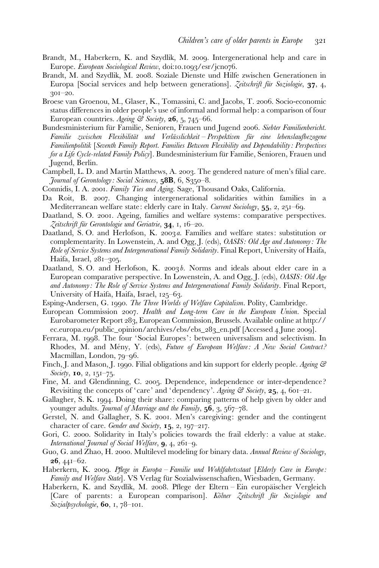- Brandt, M., Haberkern, K. and Szydlik, M. 2009. Intergenerational help and care in Europe. European Sociological Review, doi:10.1093/esr/jcn076.
- Brandt, M. and Szydlik, M. 2008. Soziale Dienste und Hilfe zwischen Generationen in Europa [Social services and help between generations]. Zeitschrift für Soziologie, 37, 4, 301–20.
- Broese van Groenou, M., Glaser, K., Tomassini, C. and Jacobs, T. 2006. Socio-economic status differences in older people's use of informal and formal help: a comparison of four European countries. Ageing & Society,  $26$ , 5, 745–66.
- Bundesministerium für Familie, Senioren, Frauen und Jugend 2006. Siebter Familienbericht. Familie zwischen Flexibilität und Verlässlichkeit – Perspektiven für eine lebenslaufbezogene Familienpolitik [Seventh Family Report. Families Between Flexibility and Dependability: Perspectives for a Life Cycle-related Family Policy]. Bundesministerium für Familie, Senioren, Frauen und Jugend, Berlin.
- Campbell, L. D. and Martin Matthews, A. 2003. The gendered nature of men's filial care.  $Journal of Genotology: Social Sciences, 58B, 6, S350-8.$
- Connidis, I. A. 2001. Family Ties and Aging. Sage, Thousand Oaks, California.
- Da Roit, B. 2007. Changing intergenerational solidarities within families in a Mediterranean welfare state: elderly care in Italy. Current Sociology, 55, 2, 251–69.
- Daatland, S. O. 2001. Ageing, families and welfare systems: comparative perspectives. Zeitschrift für Gerontologie und Geriatrie,  $34$ , 1, 16–20.
- Daatland, S. O. and Herlofson, K. 2003a. Families and welfare states: substitution or complementarity. In Lowenstein, A. and Ogg, J. (eds), OASIS: Old Age and Autonomy: The Role of Service Systems and Intergenerational Family Solidarity. Final Report, University of Haifa, Haifa, Israel, 281–305.
- Daatland, S.O. and Herlofson, K. 2003b. Norms and ideals about elder care in a European comparative perspective. In Lowenstein, A. and Ogg, J. (eds), OASIS: Old Age and Autonomy: The Role of Service Systems and Intergenerational Family Solidarity. Final Report, University of Haifa, Haifa, Israel, 125–63.
- Esping-Andersen, G. 1990. The Three Worlds of Welfare Capitalism. Polity, Cambridge.
- European Commission 2007. Health and Long-term Care in the European Union. Special Eurobarometer Report 283, European Commission, Brussels. Available online at http:// ec.europa.eu/public\_opinion/archives/ebs/ebs\_283\_en.pdf [Accessed 4 June 2009].
- Ferrara, M. 1998. The four 'Social Europes': between universalism and selectivism. In Rhodes, M. and Mény, Y. (eds), Future of European Welfare: A New Social Contract? Macmillan, London, 79–96.
- Finch, J. and Mason, J. 1990. Filial obligations and kin support for elderly people. Ageing & Society, **10**, 2, 151-75.
- Fine, M. and Glendinning, C. 2005. Dependence, independence or inter-dependence? Revisiting the concepts of 'care' and 'dependency'. Ageing  $\mathcal{C}$ ' Society, 25, 4, 601–21.
- Gallagher, S. K. 1994. Doing their share: comparing patterns of help given by older and younger adults. *Journal of Marriage and the Family*,  $56$ ,  $3$ ,  $567-78$ .
- Gerstel, N. and Gallagher, S. K. 2001. Men's caregiving: gender and the contingent character of care. Gender and Society, 15, 2, 197-217.
- Gori, C. 2000. Solidarity in Italy's policies towards the frail elderly: a value at stake. International Journal of Social Welfare,  $9, 4, 261 - 9$ .
- Guo, G. and Zhao, H. 2000. Multilevel modeling for binary data. Annual Review of Sociology,  $26, 441 - 62.$
- Haberkern, K. 2009. Pflege in Europa Familie und Wohlfahrtsstaat [Elderly Care in Europe: Family and Welfare State]. VS Verlag für Sozialwissenschaften, Wiesbaden, Germany.
- Haberkern, K. and Szydlik, M. 2008. Pflege der Eltern Ein europäischer Vergleich [Care of parents: a European comparison]. Kölner Zeitschrift für Soziologie und Sozialpsychologie, 60, 1, 78-101.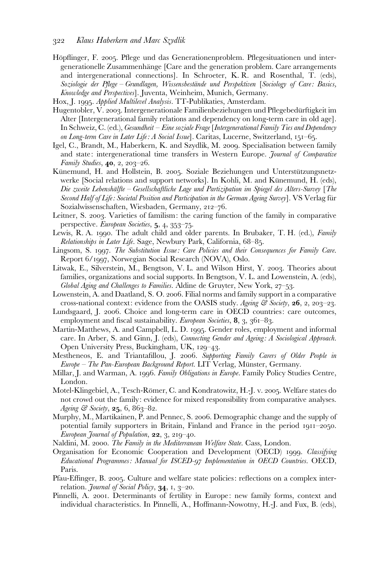- Höpflinger, F. 2005. Pflege und das Generationenproblem. Pflegesituationen und intergenerationelle Zusammenhänge [Care and the generation problem. Care arrangements and intergenerational connections]. In Schroeter, K. R. and Rosenthal, T. (eds), Soziologie der Pflege – Grundlagen, Wissensbestände und Perspektiven [Sociology of Care: Basics, Knowledge and Perspectives]. Juventa, Weinheim, Munich, Germany.
- Hox, J. 1995. Applied Multilevel Analysis. TT-Publikaties, Amsterdam.
- Hugentobler, V. 2003. Intergenerationale Familienbeziehungen und Pflegebedürftigkeit im Alter [Intergenerational family relations and dependency on long-term care in old age]. In Schweiz, C. (ed.), *Gesundheit – Eine soziale Frage [Intergenerational Family Ties and Dependency* on Long-term Care in Later Life: A Social Issue]. Caritas, Lucerne, Switzerland, 151–65.
- Igel, C., Brandt, M., Haberkern, K. and Szydlik, M. 2009. Specialisation between family and state: intergenerational time transfers in Western Europe. *Journal of Comparative Family Studies*, **40**, 2, 203–26.
- Künemund, H. and Hollstein, B. 2005. Soziale Beziehungen und Unterstützungsnetzwerke [Social relations and support networks]. In Kohli, M. and Künemund, H. (eds), Die zweite Lebensha¨lfte – Gesellschaftliche Lage und Partizipation im Spiegel des Alters-Survey [The Second Half of Life: Societal Position and Participation in the German Ageing Survey]. VS Verlag für Sozialwissenschaften, Wiesbaden, Germany, 212–76.
- Leitner, S. 2003. Varieties of familism: the caring function of the family in comparative perspective. European Societies, 5, 4, 353-75.
- Lewis, R. A. 1990. The adult child and older parents. In Brubaker, T. H. (ed.), Family Relationships in Later Life. Sage, Newbury Park, California, 68–85.
- Lingsom, S. 1997. The Substitution Issue: Care Policies and their Consequences for Family Care. Report 6/1997, Norwegian Social Research (NOVA), Oslo.
- Litwak, E., Silverstein, M., Bengtson, V. L. and Wilson Hirst, Y. 2003. Theories about families, organizations and social supports. In Bengtson, V. L. and Lowenstein, A. (eds), Global Aging and Challenges to Families. Aldine de Gruyter, New York, 27–53.
- Lowenstein, A. and Daatland, S. O. 2006. Filial norms and family support in a comparative cross-national context: evidence from the OASIS study. Ageing  $\mathcal{C}$  Society, **26**, 2, 203–23.
- Lundsgaard, J. 2006. Choice and long-term care in OECD countries: care outcomes, employment and fiscal sustainability. European Societies, 8, 3, 361-83.
- Martin-Matthews, A. and Campbell, L. D. 1995. Gender roles, employment and informal care. In Arber, S. and Ginn, J. (eds), Connecting Gender and Ageing: A Sociological Approach. Open University Press, Buckingham, UK, 129–43.
- Mestheneos, E. and Triantafillou, J. 2006. Supporting Family Carers of Older People in Europe – The Pan-European Background Report. LIT Verlag, Münster, Germany.
- Millar, J. and Warman, A. 1996. Family Obligations in Europe. Family Policy Studies Centre, London.
- Motel-Klingebiel, A., Tesch-Römer, C. and Kondratowitz, H.-J. v. 2005. Welfare states do not crowd out the family: evidence for mixed responsibility from comparative analyses. Ageing  $\mathcal{C}$  Society, 25, 6, 863–82.
- Murphy, M., Martikainen, P. and Pennec, S. 2006. Demographic change and the supply of potential family supporters in Britain, Finland and France in the period 1911–2050. European Journal of Population,  $22, 3, 219 - 40$ .
- Naldini, M. 2000. The Family in the Mediterranean Welfare State. Cass, London.
- Organisation for Economic Cooperation and Development (OECD) 1999. Classifying Educational Programmes: Manual for ISCED-97 Implementation in OECD Countries. OECD, Paris.
- Pfau-Effinger, B. 2005. Culture and welfare state policies: reflections on a complex interrelation. Journal of Social Policy,  $34$ , 1,  $3-20$ .
- Pinnelli, A. 2001. Determinants of fertility in Europe: new family forms, context and individual characteristics. In Pinnelli, A., Hoffmann-Nowotny, H.-J. and Fux, B. (eds),